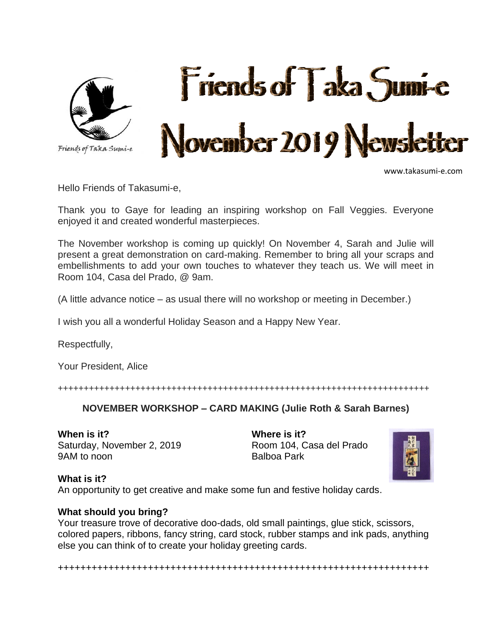

www.takasumi-e.com

Hello Friends of Takasumi-e,

Thank you to Gaye for leading an inspiring workshop on Fall Veggies. Everyone enjoyed it and created wonderful masterpieces.

The November workshop is coming up quickly! On November 4, Sarah and Julie will present a great demonstration on card-making. Remember to bring all your scraps and embellishments to add your own touches to whatever they teach us. We will meet in Room 104, Casa del Prado, @ 9am.

(A little advance notice – as usual there will no workshop or meeting in December.)

I wish you all a wonderful Holiday Season and a Happy New Year.

Respectfully,

Your President, Alice

++++++++++++++++++++++++++++++++++++++++++++++++++++++++++++++++++++++++

#### **NOVEMBER WORKSHOP – CARD MAKING (Julie Roth & Sarah Barnes)**

**When is it?** Saturday, November 2, 2019 9AM to noon

**Where is it?** Room 104, Casa del Prado Balboa Park



#### **What is it?**

An opportunity to get creative and make some fun and festive holiday cards.

#### **What should you bring?**

Your treasure trove of decorative doo-dads, old small paintings, glue stick, scissors, colored papers, ribbons, fancy string, card stock, rubber stamps and ink pads, anything else you can think of to create your holiday greeting cards.

++++++++++++++++++++++++++++++++++++++++++++++++++++++++++++++++++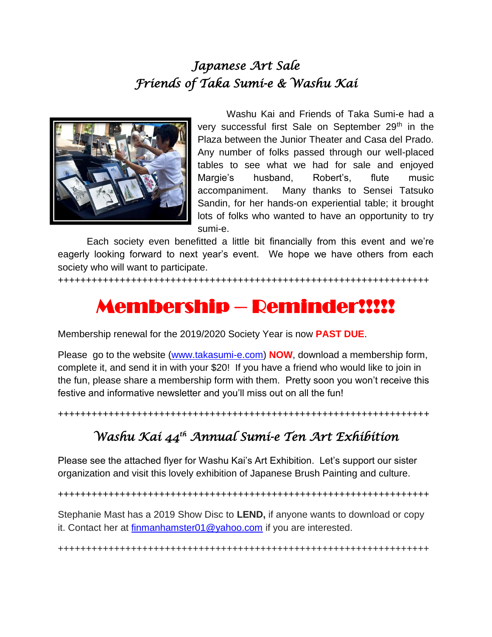# *Japanese Art Sale Friends of Taka Sumi-e & Washu Kai*



Washu Kai and Friends of Taka Sumi-e had a very successful first Sale on September 29<sup>th</sup> in the Plaza between the Junior Theater and Casa del Prado. Any number of folks passed through our well-placed tables to see what we had for sale and enjoyed Margie's husband, Robert's, flute music accompaniment. Many thanks to Sensei Tatsuko Sandin, for her hands-on experiential table; it brought lots of folks who wanted to have an opportunity to try sumi-e.

Each society even benefitted a little bit financially from this event and we're eagerly looking forward to next year's event. We hope we have others from each society who will want to participate.

++++++++++++++++++++++++++++++++++++++++++++++++++++++++++++++++++

# Membership – Reminder!!!!!

Membership renewal for the 2019/2020 Society Year is now **PAST DUE**.

Please go to the website [\(www.takasumi-e.com\)](http://www.takasumi-e.com/) **NOW**, download a membership form, complete it, and send it in with your \$20! If you have a friend who would like to join in the fun, please share a membership form with them. Pretty soon you won't receive this festive and informative newsletter and you'll miss out on all the fun!

++++++++++++++++++++++++++++++++++++++++++++++++++++++++++++++++++

# *Washu Kai 44th Annual Sumi-e Ten Art Exhibition*

Please see the attached flyer for Washu Kai's Art Exhibition. Let's support our sister organization and visit this lovely exhibition of Japanese Brush Painting and culture.

++++++++++++++++++++++++++++++++++++++++++++++++++++++++++++++++++

Stephanie Mast has a 2019 Show Disc to **LEND,** if anyone wants to download or copy it. Contact her at [finmanhamster01@yahoo.com](mailto:finmanhamster01@yahoo.com) if you are interested.

++++++++++++++++++++++++++++++++++++++++++++++++++++++++++++++++++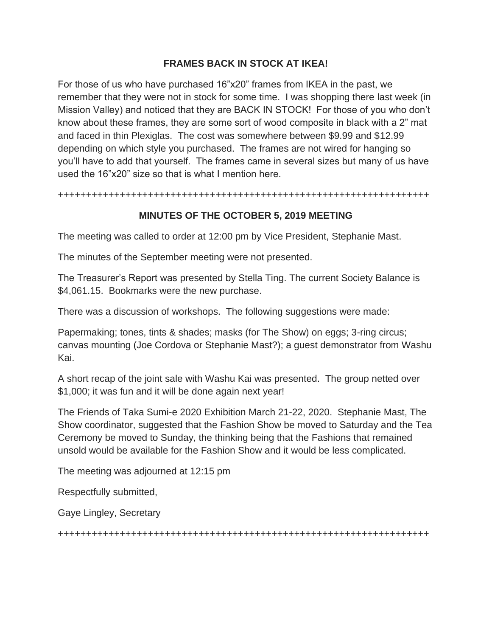# **FRAMES BACK IN STOCK AT IKEA!**

For those of us who have purchased 16"x20" frames from IKEA in the past, we remember that they were not in stock for some time. I was shopping there last week (in Mission Valley) and noticed that they are BACK IN STOCK! For those of you who don't know about these frames, they are some sort of wood composite in black with a 2" mat and faced in thin Plexiglas. The cost was somewhere between \$9.99 and \$12.99 depending on which style you purchased. The frames are not wired for hanging so you'll have to add that yourself. The frames came in several sizes but many of us have used the 16"x20" size so that is what I mention here.

++++++++++++++++++++++++++++++++++++++++++++++++++++++++++++++++++

# **MINUTES OF THE OCTOBER 5, 2019 MEETING**

The meeting was called to order at 12:00 pm by Vice President, Stephanie Mast.

The minutes of the September meeting were not presented.

The Treasurer's Report was presented by Stella Ting. The current Society Balance is \$4,061.15. Bookmarks were the new purchase.

There was a discussion of workshops. The following suggestions were made:

Papermaking; tones, tints & shades; masks (for The Show) on eggs; 3-ring circus; canvas mounting (Joe Cordova or Stephanie Mast?); a guest demonstrator from Washu Kai.

A short recap of the joint sale with Washu Kai was presented. The group netted over \$1,000; it was fun and it will be done again next year!

The Friends of Taka Sumi-e 2020 Exhibition March 21-22, 2020. Stephanie Mast, The Show coordinator, suggested that the Fashion Show be moved to Saturday and the Tea Ceremony be moved to Sunday, the thinking being that the Fashions that remained unsold would be available for the Fashion Show and it would be less complicated.

The meeting was adjourned at 12:15 pm

Respectfully submitted,

Gaye Lingley, Secretary

++++++++++++++++++++++++++++++++++++++++++++++++++++++++++++++++++